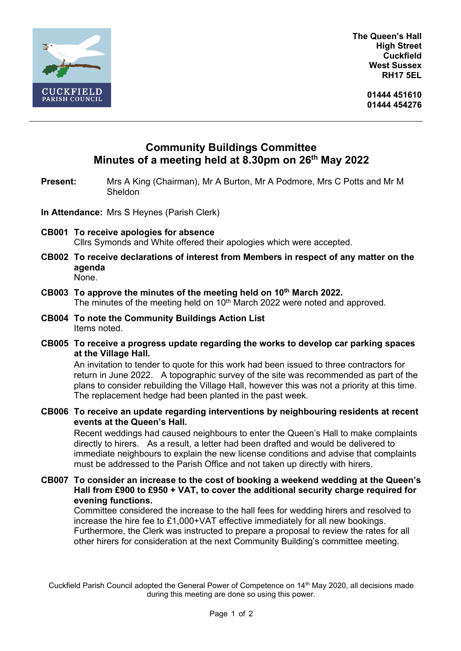

**The Queen's Hall High Street Cuckfield West Sussex RH17 5EL**

> **01444 451610 01444 454276**

## **Community Buildings Committee Minutes of a meeting held at 8.30pm on 26th May 2022**

**Present:** Mrs A King (Chairman), Mr A Burton, Mr A Podmore, Mrs C Potts and Mr M Sheldon

- **In Attendance:** Mrs S Heynes (Parish Clerk)
- **CB001 To receive apologies for absence** Cllrs Symonds and White offered their apologies which were accepted.
- **CB002 To receive declarations of interest from Members in respect of any matter on the agenda** None.
- **CB003 To approve the minutes of the meeting held on 10 th March 2022.** The minutes of the meeting held on 10<sup>th</sup> March 2022 were noted and approved.
- **CB004 To note the Community Buildings Action List** Items noted.
- **CB005 To receive a progress update regarding the works to develop car parking spaces at the Village Hall.**

An invitation to tender to quote for this work had been issued to three contractors for return in June 2022. A topographic survey of the site was recommended as part of the plans to consider rebuilding the Village Hall, however this was not a priority at this time. The replacement hedge had been planted in the past week.

**CB006 To receive an update regarding interventions by neighbouring residents at recent events at the Queen's Hall.**

Recent weddings had caused neighbours to enter the Queen's Hall to make complaints directly to hirers. As a result, a letter had been drafted and would be delivered to immediate neighbours to explain the new license conditions and advise that complaints must be addressed to the Parish Office and not taken up directly with hirers.

**CB007 To consider an increase to the cost of booking a weekend wedding at the Queen's Hall from £900 to £950 + VAT, to cover the additional security charge required for evening functions.**

Committee considered the increase to the hall fees for wedding hirers and resolved to increase the hire fee to £1,000+VAT effective immediately for all new bookings. Furthermore, the Clerk was instructed to prepare a proposal to review the rates for all other hirers for consideration at the next Community Building's committee meeting.

Cuckfield Parish Council adopted the General Power of Competence on 14th May 2020, all decisions made during this meeting are done so using this power.